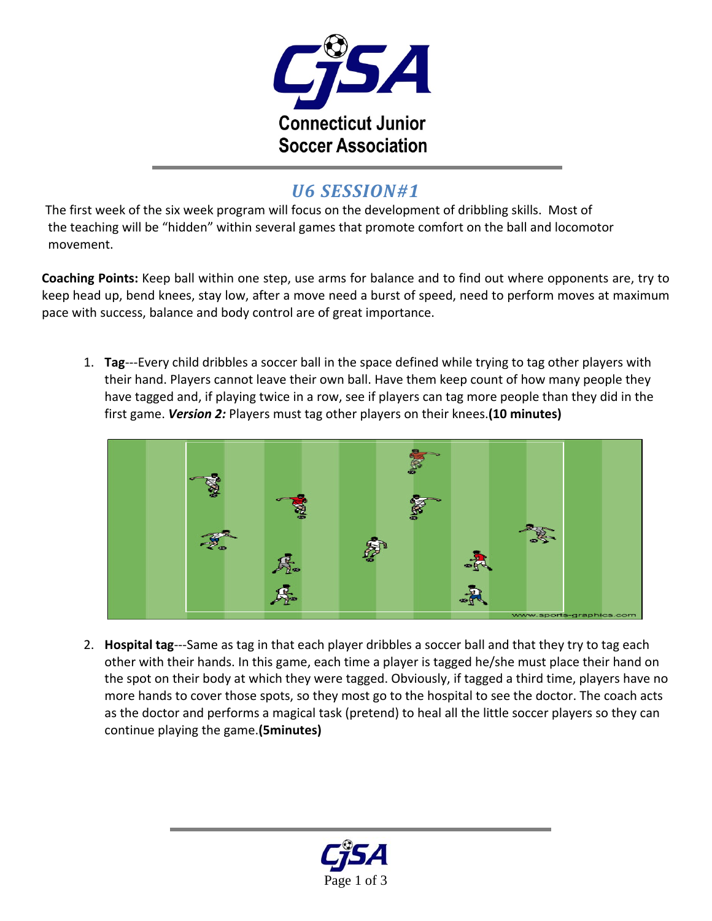

## *U6 SESSION#1*

The first week of the six week program will focus on the development of dribbling skills. Most of the teaching will be "hidden" within several games that promote comfort on the ball and locomotor movement.

**Coaching Points:** Keep ball within one step, use arms for balance and to find out where opponents are, try to keep head up, bend knees, stay low, after a move need a burst of speed, need to perform moves at maximum pace with success, balance and body control are of great importance.

1. **Tag**‐‐‐Every child dribbles a soccer ball in the space defined while trying to tag other players with their hand. Players cannot leave their own ball. Have them keep count of how many people they have tagged and, if playing twice in a row, see if players can tag more people than they did in the first game. *Version 2:* Players must tag other players on their knees.**(10 minutes)**



2. **Hospital tag**‐‐‐Same as tag in that each player dribbles a soccer ball and that they try to tag each other with their hands. In this game, each time a player is tagged he/she must place their hand on the spot on their body at which they were tagged. Obviously, if tagged a third time, players have no more hands to cover those spots, so they most go to the hospital to see the doctor. The coach acts as the doctor and performs a magical task (pretend) to heal all the little soccer players so they can continue playing the game.**(5minutes)**

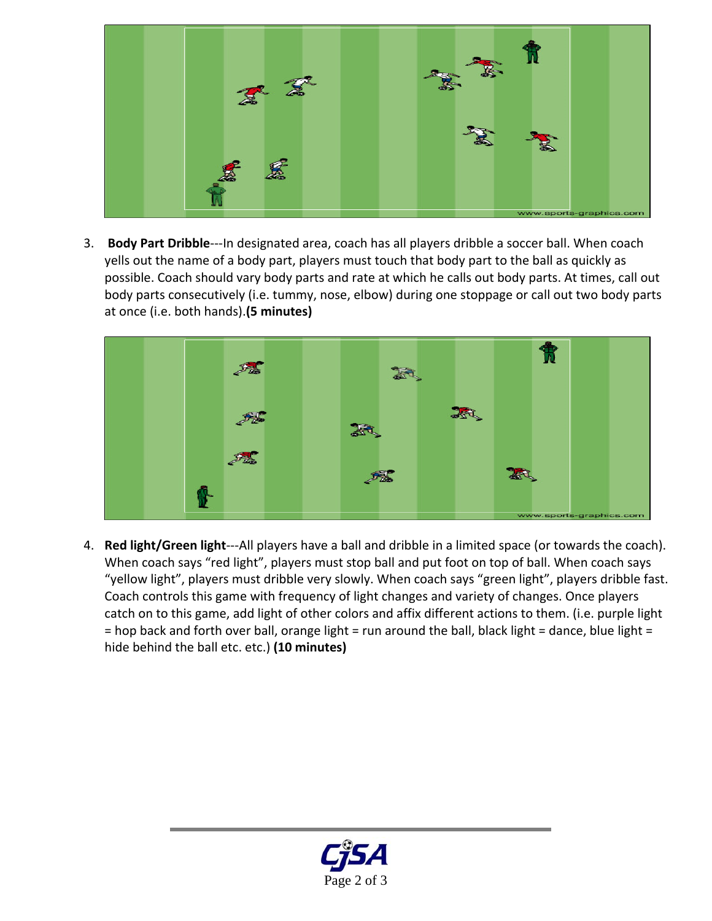

3. **Body Part Dribble**‐‐‐In designated area, coach has all players dribble a soccer ball. When coach yells out the name of a body part, players must touch that body part to the ball as quickly as possible. Coach should vary body parts and rate at which he calls out body parts. At times, call out body parts consecutively (i.e. tummy, nose, elbow) during one stoppage or call out two body parts at once (i.e. both hands).**(5 minutes)**



4. **Red light/Green light**‐‐‐All players have a ball and dribble in a limited space (or towards the coach). When coach says "red light", players must stop ball and put foot on top of ball. When coach says "yellow light", players must dribble very slowly. When coach says "green light", players dribble fast. Coach controls this game with frequency of light changes and variety of changes. Once players catch on to this game, add light of other colors and affix different actions to them. (i.e. purple light = hop back and forth over ball, orange light = run around the ball, black light = dance, blue light = hide behind the ball etc. etc.) **(10 minutes)**